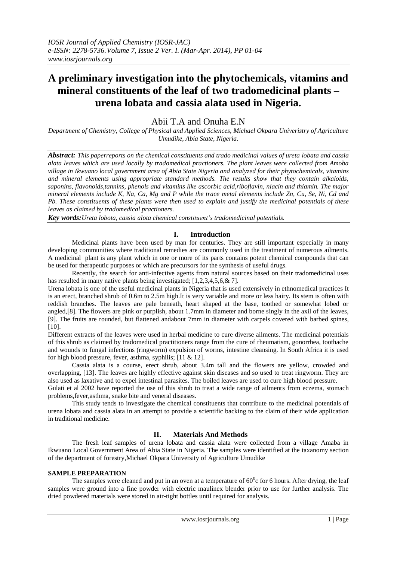# **A preliminary investigation into the phytochemicals, vitamins and mineral constituents of the leaf of two tradomedicinal plants – urena lobata and cassia alata used in Nigeria.**

# Abii T.A and Onuha E.N

*Department of Chemistry, College of Physical and Applied Sciences, Michael Okpara Univeristry of Agriculture Umudike, Abia State, Nigeria.*

*Abstract: This paperreports on the chemical constituents and trado medicinal values of ureta lobata and cassia alata leaves which are used locally by tradomedical practioners. The plant leaves were collected from Amoba village in Ikwuano local government area of Abia State Nigeria and analyzed for their phytochemicals, vitamins and mineral elements using appropriate standard methods. The results show that they contain alkaloids, saponins, flavonoids,tannins, phenols and vitamins like ascorbic acid,riboflavin, niacin and thiamin. The major mineral elements include K, Na, Ca, Mg and P while the trace metal elements include Zn, Cu, Se, Ni, Cd and Pb. These constituents of these plants were then used to explain and justify the medicinal potentials of these leaves as claimed by tradomedical practioners.*

*Key words:Ureta lobota, cassia alota chemical constituent's tradomedicinal potentials.*

# **I. Introduction**

Medicinal plants have been used by man for centuries. They are still important especially in many developing communities where traditional remedies are commonly used in the treatment of numerous ailments. A medicinal plant is any plant which in one or more of its parts contains potent chemical compounds that can be used for therapeutic purposes or which are precursors for the synthesis of useful drugs.

Recently, the search for anti-infective agents from natural sources based on their tradomedicinal uses has resulted in many native plants being investigated; [1,2,3,4,5,6,& 7].

Urena lobata is one of the useful medicinal plants in Nigeria that is used extensively in ethnomedical practices It is an erect, branched shrub of 0.6m to 2.5m high.It is very variable and more or less hairy. Its stem is often with reddish branches. The leaves are pale beneath, heart shaped at the base, toothed or somewhat lobed or angled,[8]. The flowers are pink or purplish, about 1.7mm in diameter and borne singly in the axil of the leaves, [9]. The fruits are rounded, but flattened andabout 7mm in diameter with carpels covered with barbed spines, [10].

Different extracts of the leaves were used in herbal medicine to cure diverse ailments. The medicinal potentials of this shrub as claimed by tradomedical practitioners range from the cure of rheumatism, gonorrhea, toothache and wounds to fungal infections (ringworm) expulsion of worms, intestine cleansing. In South Africa it is used for high blood pressure, fever, asthma, syphilis;  $[11 \& 12]$ .

Cassia alata is a course, erect shrub, about 3.4m tall and the flowers are yellow, crowded and overlapping, [13]. The leaves are highly effective against skin diseases and so used to treat ringworm. They are also used as laxative and to expel intestinal parasites. The boiled leaves are used to cure high blood pressure.

Gulati et al 2002 have reported the use of this shrub to treat a wide range of ailments from eczema, stomach problems,fever,asthma, snake bite and veneral diseases.

This study tends to investigate the chemical constituents that contribute to the medicinal potentials of urena lobata and cassia alata in an attempt to provide a scientific backing to the claim of their wide application in traditional medicine.

# **II. Materials And Methods**

The fresh leaf samples of urena lobata and cassia alata were collected from a village Amaba in Ikwuano Local Government Area of Abia State in Nigeria. The samples were identified at the taxanomy section of the department of forestry,Michael Okpara University of Agriculture Umudike

## **SAMPLE PREPARATION**

The samples were cleaned and put in an oven at a temperature of  $60^{\circ}$ c for 6 hours. After drying, the leaf samples were ground into a fine powder with electric maulinex blender prior to use for further analysis. The dried powdered materials were stored in air-tight bottles until required for analysis.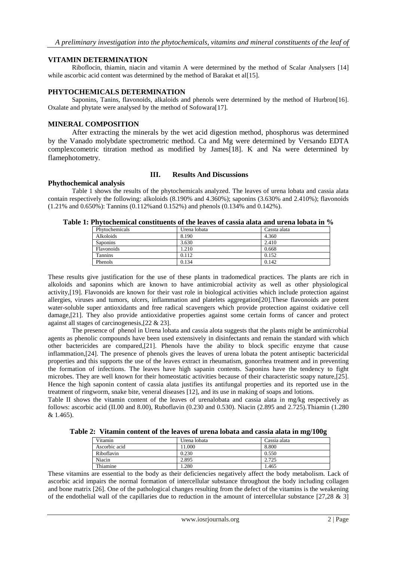# **VITAMIN DETERMINATION**

Riboflocin, thiamin, niacin and vitamin A were determined by the method of Scalar Analysers [14] while ascorbic acid content was determined by the method of Barakat et al[15].

#### **PHYTOCHEMICALS DETERMINATION**

Saponins, Tanins, flavonoids, alkaloids and phenols were determined by the method of Hurbron[16]. Oxalate and phytate were analysed by the method of Sofowara[17].

# **MINERAL COMPOSITION**

After extracting the minerals by the wet acid digestion method, phosphorus was determined by the Vanado molybdate spectrometric method. Ca and Mg were determined by Versando EDTA complexcometric titration method as modified by James[18]. K and Na were determined by flamephotometry.

## **III. Results And Discussions**

#### **Phythochemical analysis**

Table 1 shows the results of the phytochemicals analyzed. The leaves of urena lobata and cassia alata contain respectively the following: alkoloids (8.190% and 4.360%); saponins (3.630% and 2.410%); flavonoids (1.21% and 0.650%): Tannins (0.112%and 0.152%) and phenols (0.134% and 0.142%).

| , 1 II) iochthnicaí constituchts of the Icaves of cassia aigua anu urcha fobata nr 7 |                  |              |              |  |  |  |
|--------------------------------------------------------------------------------------|------------------|--------------|--------------|--|--|--|
|                                                                                      | Phytochemicals   | Urena lobata | Cassta alata |  |  |  |
|                                                                                      | <b>Alkoloids</b> | 8.190        | 4.360        |  |  |  |
|                                                                                      | <b>Saponins</b>  | 3.630        | 2.410        |  |  |  |
|                                                                                      | Flavonoids       | 1.210        | 0.668        |  |  |  |
|                                                                                      | Tannins          | 0.112        | 0.152        |  |  |  |
|                                                                                      | Phenols          | 0.134        | 0.142        |  |  |  |

| Table 1: Phytochemical constituents of the leaves of cassia alata and urena lobata in % |  |  |  |
|-----------------------------------------------------------------------------------------|--|--|--|
|-----------------------------------------------------------------------------------------|--|--|--|

These results give justification for the use of these plants in tradomedical practices. The plants are rich in alkoloids and saponins which are known to have antimicrobial activity as well as other physiological activity,[19]. Flavonoids are known for their vast role in biological activities which include protection against allergies, viruses and tumors, ulcers, inflammation and platelets aggregation[20].These flavonoids are potent water-soluble super antioxidants and free radical scavengers which provide protection against oxidative cell damage,[21]. They also provide antioxidative properties against some certain forms of cancer and protect against all stages of carcinogenesis,[22 & 23].

The presence of phenol in Urena lobata and cassia alota suggests that the plants might be antimicrobial agents as phenolic compounds have been used extensively in disinfectants and remain the standard with which other bactericides are compared,[21]. Phenols have the ability to block specific enzyme that cause inflammation,[24]. The presence of phenols gives the leaves of urena lobata the potent antiseptic bactericidal properties and this supports the use of the leaves extract in rheumatism, gonorrhea treatment and in preventing the formation of infections. The leaves have high sapanin contents. Saponins have the tendency to fight microbes. They are well known for their homeostatic activities because of their characteristic soapy nature,[25]. Hence the high saponin content of cassia alata justifies its antifungal properties and its reported use in the treatment of ringworm, snake bite, veneral diseases [12], and its use in making of soaps and lotions.

Table II shows the vitamin content of the leaves of urenalobata and cassia alata in mg/kg respectively as follows: ascorbic acid (II.00 and 8.00), Ruboflavin (0.230 and 0.530). Niacin (2.895 and 2.725).Thiamin (1.280 & 1.465).

**Table 2: Vitamin content of the leaves of urena lobata and cassia alata in mg/100g**

| Vitamin       | Urena lobata | Cassia alata |
|---------------|--------------|--------------|
| Ascorbic acid | 11.000       | 8.800        |
| Riboflavin    | 0.230        | 0.550        |
| Niacin        | 2.895        | 2.725        |
| Thiamine      | .280         | l.465        |

These vitamins are essential to the body as their deficiencies negatively affect the body metabolism. Lack of ascorbic acid impairs the normal formation of intercellular substance throughout the body including collagen and bone matrix [26]. One of the pathological changes resulting from the defect of the vitamins is the weakening of the endothelial wall of the capillaries due to reduction in the amount of intercellular substance  $[27,28 \& 3]$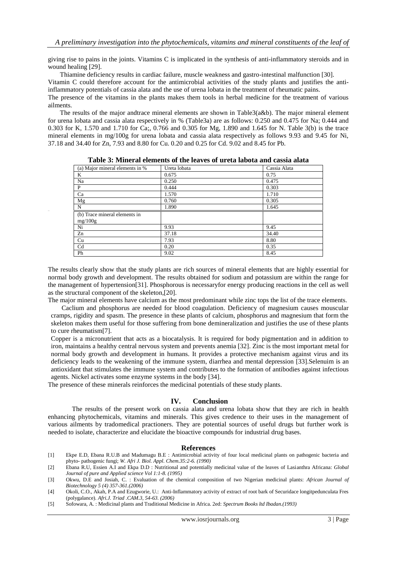giving rise to pains in the joints. Vitamins C is implicated in the synthesis of anti-inflammatory steroids and in wound healing [29].

Thiamine deficiency results in cardiac failure, muscle weakness and gastro-intestinal malfunction [30]. Vitamin C could therefore account for the antimicrobial activities of the study plants and justifies the antiinflammatory potentials of cassia alata and the use of urena lobata in the treatment of rheumatic pains. The presence of the vitamins in the plants makes them tools in herbal medicine for the treatment of various

ailments.

The results of the major andtrace mineral elements are shown in Table3(a&b). The major mineral element for urena lobata and cassia alata respectively in % (Table3a) are as follows: 0.250 and 0.475 for Na; 0.444 and 0.303 for K, 1.570 and 1.710 for Ca;, 0.766 and 0.305 for Mg, 1.890 and 1.645 for N. Table 3(b) is the trace mineral elements in mg/100g for urena lobata and cassia alata respectively as follows 9.93 and 9.45 for Ni, 37.18 and 34.40 for Zn, 7.93 and 8.80 for Cu. 0.20 and 0.25 for Cd. 9.02 and 8.45 for Pb.

| (a) Major mineral elements in %          | Ureta lobata | Cassia Alata |  |  |  |
|------------------------------------------|--------------|--------------|--|--|--|
| K                                        | 0.675        | 0.75         |  |  |  |
| Na                                       | 0.250        | 0.475        |  |  |  |
| $\mathbf{P}$                             | 0.444        | 0.303        |  |  |  |
| Ca                                       | 1.570        | 1.710        |  |  |  |
| Mg                                       | 0.760        | 0.305        |  |  |  |
| N                                        | 1.890        | 1.645        |  |  |  |
| (b) Trace mineral elements in<br>mg/100g |              |              |  |  |  |
| Ni                                       | 9.93         | 9.45         |  |  |  |
| Zn                                       | 37.18        | 34.40        |  |  |  |
| Cu                                       | 7.93         | 8.80         |  |  |  |
| Cd                                       | 0.20         | 0.35         |  |  |  |
| Ph                                       | 9.02         | 8.45         |  |  |  |
|                                          |              |              |  |  |  |

**Table 3: Mineral elements of the leaves of ureta labota and cassia alata**

The results clearly show that the study plants are rich sources of mineral elements that are highly essential for normal body growth and development. The results obtained for sodium and potassium are within the range for the management of hypertension[31]. Phosphorous is necessaryfor energy producing reactions in the cell as well as the structural component of the skeleton,[20].

The major mineral elements have calcium as the most predominant while zinc tops the list of the trace elements.

Caclium and phosphorus are needed for blood coagulation. Deficiency of magnesium causes mouscular cramps, rigidity and spasm. The presence in these plants of calcium, phosphorus and magnesium that form the skeleton makes them useful for those suffering from bone demineralization and justifies the use of these plants to cure rheumatism[7].

Copper is a micronutrient that acts as a biocatalysis. It is required for body pigmentation and in addition to iron, maintains a healthy central nervous system and prevents anemia [32]. Zinc is the most important metal for normal body growth and development in humans. It provides a protective mechanism against virus and its deficiency leads to the weakening of the immune system, diarrhea and mental depression [33].Selenuim is an antioxidant that stimulates the immune system and contributes to the formation of antibodies against infectious agents. Nickel activates some enzyme systems in the body [34].

The presence of these minerals reinforces the medicinal potentials of these study plants.

#### **IV. Conclusion**

The results of the present work on cassia alata and urena lobata show that they are rich in health enhancing phytochemicals, vitamins and minerals. This gives credence to their uses in the management of various ailments by tradomedical practioners. They are potential sources of useful drugs but further work is needed to isolate, characterize and elucidate the bioactive compounds for industrial drug bases.

#### **References**

- [1] Ekpe E.D, Ebana R.U.B and Madumagu B.E : Antimicrobial activity of four local medicinal plants on pathogenic bacteria and phyto- pathogenic fungi; *W. Afri J. Biol. Appl. Chem.35:2-6. (1990)*
- [2] Ebana R.U, Essien A.I and Ekpa D.D : Nutritional and potentially medicinal value of the leaves of Lasianthra Africana: *Global Journal of pure and Applied science Vol 1:1-8. (1995)*
- [3] Okwu, D.E and Josiah, C. : Evaluation of the chemical composition of two Nigerian medicinal plants: *African Journal of Biotechnology 5 (4) 357-361.(2006)*
- [4] Okoli, C.O., Akah, P.A and Ezugworie, U.: Anti-Inflammatory activity of extract of root bark of Securidace longitpedunculata Fres (polygalance). *Afri.J. Triad .CAM.3, 54-63. (2006)*
- [5] Sofowara, A. : Medicinal plants and Traditional Medicine in Africa. 2ed: *Spectrum Books ltd Ibadan.(1993)*